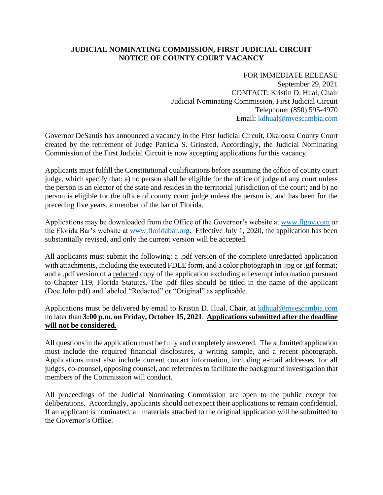## **JUDICIAL NOMINATING COMMISSION, FIRST JUDICIAL CIRCUIT NOTICE OF COUNTY COURT VACANCY**

FOR IMMEDIATE RELEASE September 29, 2021 CONTACT: Kristin D. Hual, Chair Judicial Nominating Commission, First Judicial Circuit Telephone: (850) 595-4970 Email: [kdhual@myescambia.com](mailto:kdhual@myescambia.com)

Governor DeSantis has announced a vacancy in the First Judicial Circuit, Okaloosa County Court created by the retirement of Judge Patricia S. Grinsted. Accordingly, the Judicial Nominating Commission of the First Judicial Circuit is now accepting applications for this vacancy.

Applicants must fulfill the Constitutional qualifications before assuming the office of county court judge, which specify that: a) no person shall be eligible for the office of judge of any court unless the person is an elector of the state and resides in the territorial jurisdiction of the court; and b) no person is eligible for the office of county court judge unless the person is, and has been for the preceding five years, a member of the bar of Florida.

Applications may be downloaded from the Office of the Governor's website at [www.flgov.com](http://www.flgov.com/) or the Florida Bar's website at [www.floridabar.org.](http://www.floridabar.org/) Effective July 1, 2020, the application has been substantially revised, and only the current version will be accepted.

All applicants must submit the following: a .pdf version of the complete unredacted application with attachments, including the executed FDLE form, and a color photograph in .jpg or .gif format; and a .pdf version of a redacted copy of the application excluding all exempt information pursuant to Chapter 119, Florida Statutes. The .pdf files should be titled in the name of the applicant (Doe.John.pdf) and labeled "Redacted" or "Original" as applicable.

Applications must be delivered by email to Kristin D. Hual, Chair, at [kdhual@myescambia.com](mailto:kdhual@myescambia.com/) no later than **3:00 p.m. on Friday, October 15, 2021**. **Applications submitted after the deadline will not be considered.**

All questions in the application must be fully and completely answered. The submitted application must include the required financial disclosures, a writing sample, and a recent photograph. Applications must also include current contact information, including e-mail addresses, for all judges, co-counsel, opposing counsel, and references to facilitate the background investigation that members of the Commission will conduct.

All proceedings of the Judicial Nominating Commission are open to the public except for deliberations. Accordingly, applicants should not expect their applications to remain confidential. If an applicant is nominated, all materials attached to the original application will be submitted to the Governor's Office.